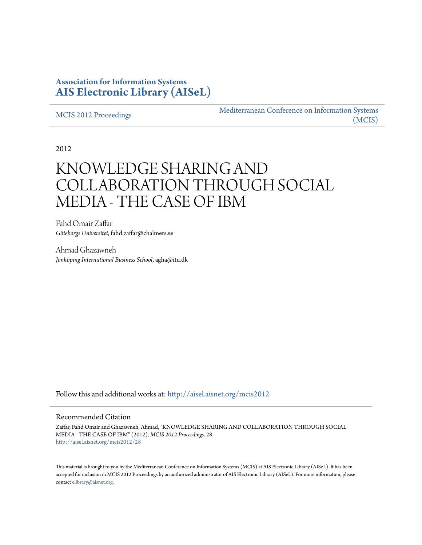## **Association for Information Systems [AIS Electronic Library \(AISeL\)](http://aisel.aisnet.org?utm_source=aisel.aisnet.org%2Fmcis2012%2F28&utm_medium=PDF&utm_campaign=PDFCoverPages)**

[MCIS 2012 Proceedings](http://aisel.aisnet.org/mcis2012?utm_source=aisel.aisnet.org%2Fmcis2012%2F28&utm_medium=PDF&utm_campaign=PDFCoverPages)

[Mediterranean Conference on Information Systems](http://aisel.aisnet.org/mcis?utm_source=aisel.aisnet.org%2Fmcis2012%2F28&utm_medium=PDF&utm_campaign=PDFCoverPages) [\(MCIS\)](http://aisel.aisnet.org/mcis?utm_source=aisel.aisnet.org%2Fmcis2012%2F28&utm_medium=PDF&utm_campaign=PDFCoverPages)

2012

# KNOWLEDGE SHARING AND COLLABORATION THROUGH SOCIAL MEDIA - THE CASE OF IBM

Fahd Omair Zaffar *Göteborgs Universitet*, fahd.zaffar@chalmers.se

Ahmad Ghazawneh *Jönköping International Business School*, agha@itu.dk

Follow this and additional works at: [http://aisel.aisnet.org/mcis2012](http://aisel.aisnet.org/mcis2012?utm_source=aisel.aisnet.org%2Fmcis2012%2F28&utm_medium=PDF&utm_campaign=PDFCoverPages)

#### Recommended Citation

Zaffar, Fahd Omair and Ghazawneh, Ahmad, "KNOWLEDGE SHARING AND COLLABORATION THROUGH SOCIAL MEDIA - THE CASE OF IBM" (2012). *MCIS 2012 Proceedings*. 28. [http://aisel.aisnet.org/mcis2012/28](http://aisel.aisnet.org/mcis2012/28?utm_source=aisel.aisnet.org%2Fmcis2012%2F28&utm_medium=PDF&utm_campaign=PDFCoverPages)

This material is brought to you by the Mediterranean Conference on Information Systems (MCIS) at AIS Electronic Library (AISeL). It has been accepted for inclusion in MCIS 2012 Proceedings by an authorized administrator of AIS Electronic Library (AISeL). For more information, please contact [elibrary@aisnet.org.](mailto:elibrary@aisnet.org%3E)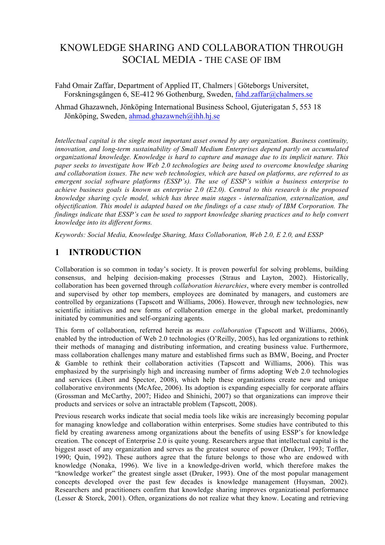## KNOWLEDGE SHARING AND COLLABORATION THROUGH SOCIAL MEDIA - THE CASE OF IBM

Fahd Omair Zaffar, Department of Applied IT, Chalmers | Göteborgs Universitet, Forskningsgången 6, SE-412 96 Gothenburg, Sweden, fahd.zaffar@chalmers.se

Ahmad Ghazawneh, Jönköping International Business School, Gjuterigatan 5, 553 18 Jönköping, Sweden, ahmad.ghazawneh@ihh.hj.se

*Intellectual capital is the single most important asset owned by any organization. Business continuity, innovation, and long-term sustainability of Small Medium Enterprises depend partly on accumulated organizational knowledge. Knowledge is hard to capture and manage due to its implicit nature. This paper seeks to investigate how Web 2.0 technologies are being used to overcome knowledge sharing and collaboration issues. The new web technologies, which are based on platforms, are referred to as emergent social software platforms (ESSP's). The use of ESSP's within a business enterprise to achieve business goals is known as enterprise 2.0 (E2.0). Central to this research is the proposed knowledge sharing cycle model, which has three main stages - internalization, externalization, and objectification. This model is adapted based on the findings of a case study of IBM Corporation. The findings indicate that ESSP's can be used to support knowledge sharing practices and to help convert knowledge into its different forms.* 

*Keywords: Social Media, Knowledge Sharing, Mass Collaboration, Web 2.0, E 2.0, and ESSP*

## **1 INTRODUCTION**

Collaboration is so common in today's society. It is proven powerful for solving problems, building consensus, and helping decision-making processes (Straus and Layton, 2002). Historically, collaboration has been governed through *collaboration hierarchies*, where every member is controlled and supervised by other top members, employees are dominated by managers, and customers are controlled by organizations (Tapscott and Williams, 2006). However, through new technologies, new scientific initiatives and new forms of collaboration emerge in the global market, predominantly initiated by communities and self-organizing agents.

This form of collaboration, referred herein as *mass collaboration* (Tapscott and Williams, 2006), enabled by the introduction of Web 2.0 technologies (O'Reilly, 2005), has led organizations to rethink their methods of managing and distributing information, and creating business value. Furthermore, mass collaboration challenges many mature and established firms such as BMW, Boeing, and Procter & Gamble to rethink their collaboration activities (Tapscott and Williams, 2006). This was emphasized by the surprisingly high and increasing number of firms adopting Web 2.0 technologies and services (Libert and Spector, 2008), which help these organizations create new and unique collaborative environments (McAfee, 2006). Its adoption is expanding especially for corporate affairs (Grossman and McCarthy, 2007; Hideo and Shinichi, 2007) so that organizations can improve their products and services or solve an intractable problem (Tapscott, 2008).

Previous research works indicate that social media tools like wikis are increasingly becoming popular for managing knowledge and collaboration within enterprises. Some studies have contributed to this field by creating awareness among organizations about the benefits of using ESSP's for knowledge creation. The concept of Enterprise 2.0 is quite young. Researchers argue that intellectual capital is the biggest asset of any organization and serves as the greatest source of power (Druker, 1993; Toffler, 1990; Quin, 1992). These authors agree that the future belongs to those who are endowed with knowledge (Nonaka, 1996). We live in a knowledge-driven world, which therefore makes the "knowledge worker" the greatest single asset (Druker, 1993). One of the most popular management concepts developed over the past few decades is knowledge management (Huysman, 2002). Researchers and practitioners confirm that knowledge sharing improves organizational performance (Lesser & Storck, 2001). Often, organizations do not realize what they know. Locating and retrieving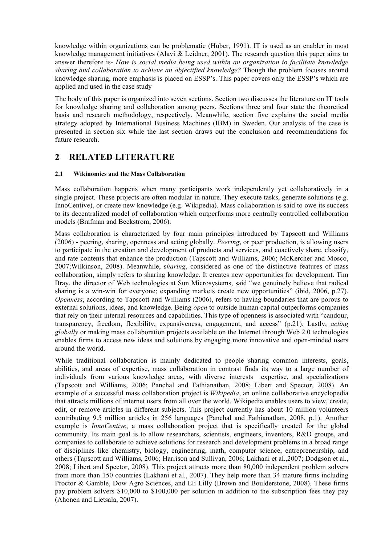knowledge within organizations can be problematic (Huber, 1991). IT is used as an enabler in most knowledge management initiatives (Alavi & Leidner, 2001). The research question this paper aims to answer therefore is- *How is social media being used within an organization to facilitate knowledge sharing and collaboration to achieve an objectified knowledge?* Though the problem focuses around knowledge sharing, more emphasis is placed on ESSP's. This paper covers only the ESSP's which are applied and used in the case study

The body of this paper is organized into seven sections. Section two discusses the literature on IT tools for knowledge sharing and collaboration among peers. Sections three and four state the theoretical basis and research methodology, respectively. Meanwhile, section five explains the social media strategy adopted by International Business Machines (IBM) in Sweden. Our analysis of the case is presented in section six while the last section draws out the conclusion and recommendations for future research.

## **2 RELATED LITERATURE**

#### **2.1 Wikinomics and the Mass Collaboration**

Mass collaboration happens when many participants work independently yet collaboratively in a single project. These projects are often modular in nature. They execute tasks, generate solutions (e.g. InnoCentive), or create new knowledge (e.g. Wikipedia). Mass collaboration is said to owe its success to its decentralized model of collaboration which outperforms more centrally controlled collaboration models (Brafman and Beckstrom, 2006).

Mass collaboration is characterized by four main principles introduced by Tapscott and Williams (2006) - peering, sharing, openness and acting globally. *Peering*, or peer production, is allowing users to participate in the creation and development of products and services, and coactively share, classify, and rate contents that enhance the production (Tapscott and Williams, 2006; McKercher and Mosco, 2007;Wilkinson, 2008). Meanwhile, s*haring*, considered as one of the distinctive features of mass collaboration, simply refers to sharing knowledge. It creates new opportunities for development. Tim Bray, the director of Web technologies at Sun Microsystems, said "we genuinely believe that radical sharing is a win-win for everyone; expanding markets create new opportunities" (ibid, 2006, p.27). *Openness*, according to Tapscott and Williams (2006), refers to having boundaries that are porous to external solutions, ideas, and knowledge. Being *open* to outside human capital outperforms companies that rely on their internal resources and capabilities. This type of openness is associated with "candour, transparency, freedom, flexibility, expansiveness, engagement, and access" (p.21). Lastly, *acting globally* or making mass collaboration projects available on the Internet through Web 2.0 technologies enables firms to access new ideas and solutions by engaging more innovative and open-minded users around the world.

While traditional collaboration is mainly dedicated to people sharing common interests, goals, abilities, and areas of expertise, mass collaboration in contrast finds its way to a large number of individuals from various knowledge areas, with diverse interests expertise, and specializations (Tapscott and Williams, 2006; Panchal and Fathianathan, 2008; Libert and Spector, 2008). An example of a successful mass collaboration project is *Wikipedia*, an online collaborative encyclopedia that attracts millions of internet users from all over the world. Wikipedia enables users to view, create, edit, or remove articles in different subjects. This project currently has about 10 million volunteers contributing 9.5 million articles in 256 languages (Panchal and Fathianathan, 2008, p.1). Another example is *InnoCentive*, a mass collaboration project that is specifically created for the global community. Its main goal is to allow researchers, scientists, engineers, inventors, R&D groups, and companies to collaborate to achieve solutions for research and development problems in a broad range of disciplines like chemistry, biology, engineering, math, computer science, entrepreneurship, and others (Tapscott and Williams, 2006; Harrison and Sullivan, 2006; Lakhani et al.,2007; Dodgson et al., 2008; Libert and Spector, 2008). This project attracts more than 80,000 independent problem solvers from more than 150 countries (Lakhani et al., 2007). They help more than 34 mature firms including Proctor & Gamble, Dow Agro Sciences, and Eli Lilly (Brown and Boulderstone, 2008). These firms pay problem solvers \$10,000 to \$100,000 per solution in addition to the subscription fees they pay (Ahonen and Lietsala, 2007).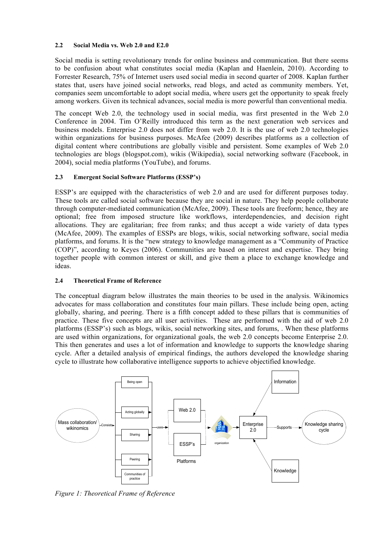#### **2.2 Social Media vs. Web 2.0 and E2.0**

Social media is setting revolutionary trends for online business and communication. But there seems to be confusion about what constitutes social media (Kaplan and Haenlein, 2010). According to Forrester Research, 75% of Internet users used social media in second quarter of 2008. Kaplan further states that, users have joined social networks, read blogs, and acted as community members. Yet, companies seem uncomfortable to adopt social media, where users get the opportunity to speak freely among workers. Given its technical advances, social media is more powerful than conventional media.

The concept Web 2.0, the technology used in social media, was first presented in the Web 2.0 Conference in 2004. Tim O'Reilly introduced this term as the next generation web services and business models. Enterprise 2.0 does not differ from web 2.0. It is the use of web 2.0 technologies within organizations for business purposes. McAfee (2009) describes platforms as a collection of digital content where contributions are globally visible and persistent. Some examples of Web 2.0 technologies are blogs (blogspot.com), wikis (Wikipedia), social networking software (Facebook, in 2004), social media platforms (YouTube), and forums.

#### **2.3 Emergent Social Software Platforms (ESSP's)**

ESSP's are equipped with the characteristics of web 2.0 and are used for different purposes today. These tools are called social software because they are social in nature. They help people collaborate through computer-mediated communication (McAfee, 2009). These tools are freeform; hence, they are optional; free from imposed structure like workflows, interdependencies, and decision right allocations. They are egalitarian; free from ranks; and thus accept a wide variety of data types (McAfee, 2009). The examples of ESSPs are blogs, wikis, social networking software, social media platforms, and forums. It is the "new strategy to knowledge management as a "Community of Practice (COP)", according to Keyes (2006). Communities are based on interest and expertise. They bring together people with common interest or skill, and give them a place to exchange knowledge and ideas.

#### **2.4 Theoretical Frame of Reference**

The conceptual diagram below illustrates the main theories to be used in the analysis. Wikinomics advocates for mass collaboration and constitutes four main pillars. These include being open, acting globally, sharing, and peering. There is a fifth concept added to these pillars that is communities of practice. These five concepts are all user activities. These are performed with the aid of web 2.0 platforms (ESSP's) such as blogs, wikis, social networking sites, and forums, . When these platforms are used within organizations, for organizational goals, the web 2.0 concepts become Enterprise 2.0. This then generates and uses a lot of information and knowledge to supports the knowledge sharing cycle. After a detailed analysis of empirical findings, the authors developed the knowledge sharing cycle to illustrate how collaborative intelligence supports to achieve objectified knowledge.



*Figure 1: Theoretical Frame of Reference*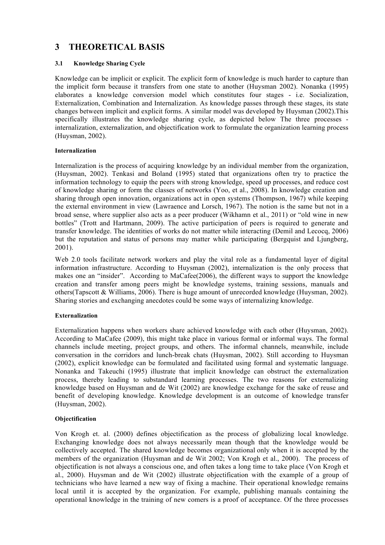## **3 THEORETICAL BASIS**

#### **3.1 Knowledge Sharing Cycle**

Knowledge can be implicit or explicit. The explicit form of knowledge is much harder to capture than the implicit form because it transfers from one state to another (Huysman 2002). Nonanka (1995) elaborates a knowledge conversion model which constitutes four stages - i.e. Socialization, Externalization, Combination and Internalization. As knowledge passes through these stages, its state changes between implicit and explicit forms. A similar model was developed by Huysman (2002).This specifically illustrates the knowledge sharing cycle, as depicted below The three processes internalization, externalization, and objectification work to formulate the organization learning process (Huysman, 2002).

#### **Internalization**

Internalization is the process of acquiring knowledge by an individual member from the organization, (Huysman, 2002). Tenkasi and Boland (1995) stated that organizations often try to practice the information technology to equip the peers with strong knowledge, speed up processes, and reduce cost of knowledge sharing or form the classes of networks (Yoo, et al., 2008). In knowledge creation and sharing through open innovation, organizations act in open systems (Thompson, 1967) while keeping the external environment in view (Lawraence and Lorsch, 1967). The notion is the same but not in a broad sense, where supplier also acts as a peer producer (Wikhamn et al., 2011) or "old wine in new bottles" (Trott and Hartmann, 2009). The active participation of peers is required to generate and transfer knowledge. The identities of works do not matter while interacting (Demil and Lecocq, 2006) but the reputation and status of persons may matter while participating (Bergquist and Ljungberg, 2001).

Web 2.0 tools facilitate network workers and play the vital role as a fundamental layer of digital information infrastructure. According to Huysman (2002), internalization is the only process that makes one an "insider". According to MaCafee(2006), the different ways to support the knowledge creation and transfer among peers might be knowledge systems, training sessions, manuals and others(Tapscott & Williams, 2006). There is huge amount of unrecorded knowledge (Huysman, 2002). Sharing stories and exchanging anecdotes could be some ways of internalizing knowledge.

#### **Externalization**

Externalization happens when workers share achieved knowledge with each other (Huysman, 2002). According to MaCafee (2009), this might take place in various formal or informal ways. The formal channels include meeting, project groups, and others. The informal channels, meanwhile, include conversation in the corridors and lunch-break chats (Huysman, 2002). Still according to Huysman (2002), explicit knowledge can be formulated and facilitated using formal and systematic language. Nonanka and Takeuchi (1995) illustrate that implicit knowledge can obstruct the externalization process, thereby leading to substandard learning processes. The two reasons for externalizing knowledge based on Huysman and de Wit (2002) are knowledge exchange for the sake of reuse and benefit of developing knowledge. Knowledge development is an outcome of knowledge transfer (Huysman, 2002).

#### **Objectification**

Von Krogh et. al. (2000) defines objectification as the process of globalizing local knowledge. Exchanging knowledge does not always necessarily mean though that the knowledge would be collectively accepted. The shared knowledge becomes organizational only when it is accepted by the members of the organization (Huysman and de Wit 2002; Von Krogh et al., 2000). The process of objectification is not always a conscious one, and often takes a long time to take place (Von Krogh et al., 2000). Huysman and de Wit (2002) illustrate objectification with the example of a group of technicians who have learned a new way of fixing a machine. Their operational knowledge remains local until it is accepted by the organization. For example, publishing manuals containing the operational knowledge in the training of new comers is a proof of acceptance. Of the three processes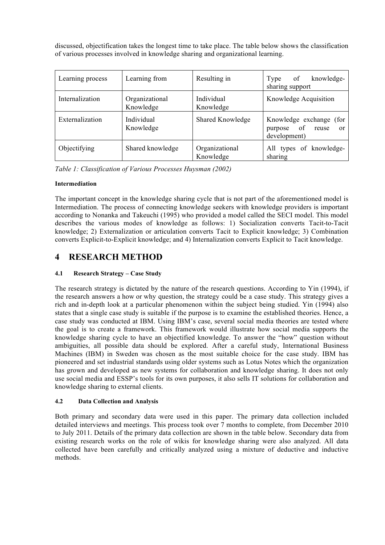discussed, objectification takes the longest time to take place. The table below shows the classification of various processes involved in knowledge sharing and organizational learning.

| Learning process | Learning from               | Resulting in                | knowledge-<br>of<br>Type<br>sharing support                             |
|------------------|-----------------------------|-----------------------------|-------------------------------------------------------------------------|
| Internalization  | Organizational<br>Knowledge | Individual<br>Knowledge     | Knowledge Acquisition                                                   |
| Externalization  | Individual<br>Knowledge     | <b>Shared Knowledge</b>     | Knowledge exchange (for<br>of<br>reuse<br>purpose<br>or<br>development) |
| Objectifying     | Shared knowledge            | Organizational<br>Knowledge | All types of knowledge-<br>sharing                                      |

*Table 1: Classification of Various Processes Huysman (2002)*

#### **Intermediation**

The important concept in the knowledge sharing cycle that is not part of the aforementioned model is Intermediation. The process of connecting knowledge seekers with knowledge providers is important according to Nonanka and Takeuchi (1995) who provided a model called the SECI model. This model describes the various modes of knowledge as follows: 1) Socialization converts Tacit-to-Tacit knowledge; 2) Externalization or articulation converts Tacit to Explicit knowledge; 3) Combination converts Explicit-to-Explicit knowledge; and 4) Internalization converts Explicit to Tacit knowledge.

## **4 RESEARCH METHOD**

#### **4.1 Research Strategy – Case Study**

The research strategy is dictated by the nature of the research questions. According to Yin (1994), if the research answers a how or why question, the strategy could be a case study. This strategy gives a rich and in-depth look at a particular phenomenon within the subject being studied. Yin (1994) also states that a single case study is suitable if the purpose is to examine the established theories. Hence, a case study was conducted at IBM. Using IBM's case, several social media theories are tested where the goal is to create a framework. This framework would illustrate how social media supports the knowledge sharing cycle to have an objectified knowledge. To answer the "how" question without ambiguities, all possible data should be explored. After a careful study, International Business Machines (IBM) in Sweden was chosen as the most suitable choice for the case study. IBM has pioneered and set industrial standards using older systems such as Lotus Notes which the organization has grown and developed as new systems for collaboration and knowledge sharing. It does not only use social media and ESSP's tools for its own purposes, it also sells IT solutions for collaboration and knowledge sharing to external clients.

#### **4.2 Data Collection and Analysis**

Both primary and secondary data were used in this paper. The primary data collection included detailed interviews and meetings. This process took over 7 months to complete, from December 2010 to July 2011. Details of the primary data collection are shown in the table below. Secondary data from existing research works on the role of wikis for knowledge sharing were also analyzed. All data collected have been carefully and critically analyzed using a mixture of deductive and inductive methods.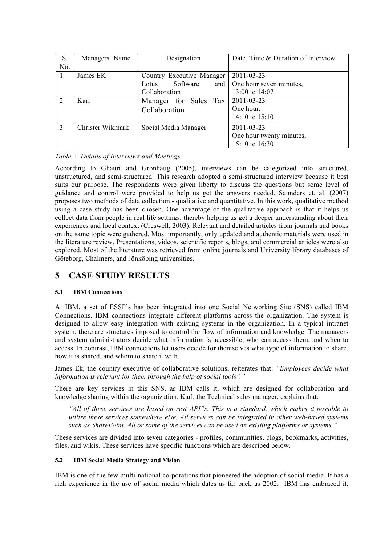| S.  | Managers' Name   | Designation                | Date, Time & Duration of Interview |
|-----|------------------|----------------------------|------------------------------------|
| No. |                  |                            |                                    |
|     | James EK         | Country Executive Manager  | 2011-03-23                         |
|     |                  | Software<br>and  <br>Lotus | One hour seven minutes,            |
|     |                  | Collaboration              | 13:00 to 14:07                     |
| 2   | Karl             | Manager for Sales Tax      | 2011-03-23                         |
|     |                  | Collaboration              | One hour,                          |
|     |                  |                            | $14:10$ to $15:10$                 |
| 3   | Christer Wikmark | Social Media Manager       | 2011-03-23                         |
|     |                  |                            | One hour twenty minutes,           |
|     |                  |                            | 15:10 to 16:30                     |

*Table 2: Details of Interviews and Meetings*

According to Ghauri and Gronhaug (2005), interviews can be categorized into structured, unstructured, and semi-structured. This research adopted a semi-structured interview because it best suits our purpose. The respondents were given liberty to discuss the questions but some level of guidance and control were provided to help us get the answers needed. Saunders et. al. (2007) proposes two methods of data collection - qualitative and quantitative. In this work, qualitative method using a case study has been chosen. One advantage of the qualitative approach is that it helps us collect data from people in real life settings, thereby helping us get a deeper understanding about their experiences and local context (Creswell, 2003). Relevant and detailed articles from journals and books on the same topic were gathered. Most importantly, only updated and authentic materials were used in the literature review. Presentations, videos, scientific reports, blogs, and commercial articles were also explored. Most of the literature was retrieved from online journals and University library databases of Göteborg, Chalmers, and Jönköping universities.

## **5 CASE STUDY RESULTS**

#### **5.1 IBM Connections**

At IBM, a set of ESSP's has been integrated into one Social Networking Site (SNS) called IBM Connections. IBM connections integrate different platforms across the organization. The system is designed to allow easy integration with existing systems in the organization. In a typical intranet system, there are structures imposed to control the flow of information and knowledge. The managers and system administrators decide what information is accessible, who can access them, and when to access. In contrast, IBM connections let users decide for themselves what type of information to share, how it is shared, and whom to share it with.

James Ek, the country executive of collaborative solutions, reiterates that: *"Employees decide what information is relevant for them through the help of social tools"."*

There are key services in this SNS, as IBM calls it, which are designed for collaboration and knowledge sharing within the organization. Karl, the Technical sales manager, explains that:

*"All of these services are based on rest API"s. This is a standard, which makes it possible to utilize these services somewhere else. All services can be integrated in other web-based systems such as SharePoint. All or some of the services can be used on existing platforms or systems."*

These services are divided into seven categories - profiles, communities, blogs, bookmarks, activities, files, and wikis. These services have specific functions which are described below.

#### **5.2 IBM Social Media Strategy and Vision**

IBM is one of the few multi-national corporations that pioneered the adoption of social media. It has a rich experience in the use of social media which dates as far back as 2002. IBM has embraced it,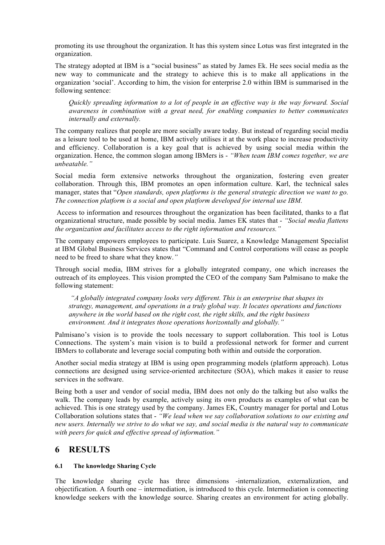promoting its use throughout the organization. It has this system since Lotus was first integrated in the organization.

The strategy adopted at IBM is a "social business" as stated by James Ek. He sees social media as the new way to communicate and the strategy to achieve this is to make all applications in the organization 'social'. According to him, the vision for enterprise 2.0 within IBM is summarised in the following sentence:

*Quickly spreading information to a lot of people in an effective way is the way forward. Social awareness in combination with a great need, for enabling companies to better communicates internally and externally.*

The company realizes that people are more socially aware today. But instead of regarding social media as a leisure tool to be used at home, IBM actively utilises it at the work place to increase productivity and efficiency. Collaboration is a key goal that is achieved by using social media within the organization. Hence, the common slogan among IBMers is - *"When team IBM comes together, we are unbeatable."*

Social media form extensive networks throughout the organization, fostering even greater collaboration. Through this, IBM promotes an open information culture. Karl, the technical sales manager, states that "*Open standards, open platforms is the general strategic direction we want to go. The connection platform is a social and open platform developed for internal use IBM.*

Access to information and resources throughout the organization has been facilitated, thanks to a flat organizational structure, made possible by social media. James EK states that - *"Social media flattens the organization and facilitates access to the right information and resources."*

The company empowers employees to participate. Luis Suarez, a Knowledge Management Specialist at IBM Global Business Services states that "Command and Control corporations will cease as people need to be freed to share what they know.*"*

Through social media, IBM strives for a globally integrated company, one which increases the outreach of its employees. This vision prompted the CEO of the company Sam Palmisano to make the following statement:

*"A globally integrated company looks very different. This is an enterprise that shapes its strategy, management, and operations in a truly global way. It locates operations and functions anywhere in the world based on the right cost, the right skills, and the right business environment. And it integrates those operations horizontally and globally."*

Palmisano's vision is to provide the tools necessary to support collaboration. This tool is Lotus Connections. The system's main vision is to build a professional network for former and current IBMers to collaborate and leverage social computing both within and outside the corporation.

Another social media strategy at IBM is using open programming models (platform approach). Lotus connections are designed using service-oriented architecture (SOA), which makes it easier to reuse services in the software.

Being both a user and vendor of social media, IBM does not only do the talking but also walks the walk. The company leads by example, actively using its own products as examples of what can be achieved. This is one strategy used by the company. James EK, Country manager for portal and Lotus Collaboration solutions states that - *"We lead when we say collaboration solutions to our existing and new users. Internally we strive to do what we say, and social media is the natural way to communicate with peers for quick and effective spread of information."*

### **6 RESULTS**

#### **6.1 The knowledge Sharing Cycle**

The knowledge sharing cycle has three dimensions -internalization, externalization, and objectification. A fourth one – intermediation, is introduced to this cycle. Intermediation is connecting knowledge seekers with the knowledge source. Sharing creates an environment for acting globally.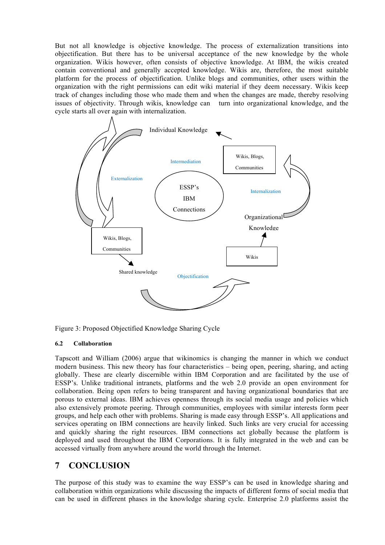But not all knowledge is objective knowledge. The process of externalization transitions into objectification. But there has to be universal acceptance of the new knowledge by the whole organization. Wikis however, often consists of objective knowledge. At IBM, the wikis created contain conventional and generally accepted knowledge. Wikis are, therefore, the most suitable platform for the process of objectification. Unlike blogs and communities, other users within the organization with the right permissions can edit wiki material if they deem necessary. Wikis keep track of changes including those who made them and when the changes are made, thereby resolving issues of objectivity. Through wikis, knowledge can turn into organizational knowledge, and the cycle starts all over again with internalization.



Figure 3: Proposed Objectified Knowledge Sharing Cycle

#### **6.2 Collaboration**

Tapscott and William (2006) argue that wikinomics is changing the manner in which we conduct modern business. This new theory has four characteristics – being open, peering, sharing, and acting globally. These are clearly discernible within IBM Corporation and are facilitated by the use of ESSP's. Unlike traditional intranets, platforms and the web 2.0 provide an open environment for collaboration. Being open refers to being transparent and having organizational boundaries that are porous to external ideas. IBM achieves openness through its social media usage and policies which also extensively promote peering. Through communities, employees with similar interests form peer groups, and help each other with problems. Sharing is made easy through ESSP's. All applications and services operating on IBM connections are heavily linked. Such links are very crucial for accessing and quickly sharing the right resources. IBM connections act globally because the platform is deployed and used throughout the IBM Corporations. It is fully integrated in the web and can be accessed virtually from anywhere around the world through the Internet.

## **7 CONCLUSION**

The purpose of this study was to examine the way ESSP's can be used in knowledge sharing and collaboration within organizations while discussing the impacts of different forms of social media that can be used in different phases in the knowledge sharing cycle. Enterprise 2.0 platforms assist the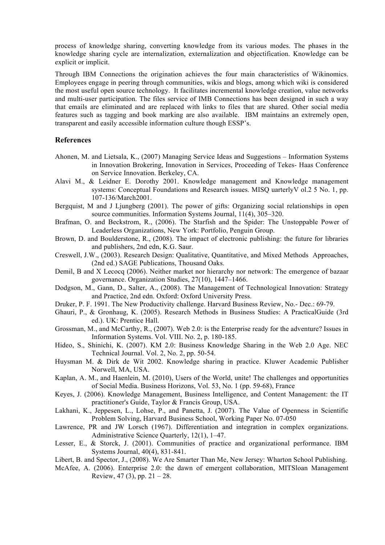process of knowledge sharing, converting knowledge from its various modes. The phases in the knowledge sharing cycle are internalization, externalization and objectification. Knowledge can be explicit or implicit.

Through IBM Connections the origination achieves the four main characteristics of Wikinomics. Employees engage in peering through communities, wikis and blogs, among which wiki is considered the most useful open source technology. It facilitates incremental knowledge creation, value networks and multi-user participation. The files service of IMB Connections has been designed in such a way that emails are eliminated and are replaced with links to files that are shared. Other social media features such as tagging and book marking are also available. IBM maintains an extremely open, transparent and easily accessible information culture though ESSP's.

#### **References**

- Ahonen, M. and Lietsala, K., (2007) Managing Service Ideas and Suggestions Information Systems in Innovation Brokering, Innovation in Services, Proceeding of Tekes- Haas Conference on Service Innovation. Berkeley, CA.
- Alavi M., & Leidner E. Dorothy 2001. Knowledge management and Knowledge management systems: Conceptual Foundations and Research issues. MISQ uarterlyV ol.2 5 No. 1, pp. 107-136/March2001.
- Bergquist, M and J Ljungberg (2001). The power of gifts: Organizing social relationships in open source communities. Information Systems Journal, 11(4), 305–320.
- Brafman, O. and Beckstrom, R., (2006). The Starfish and the Spider: The Unstoppable Power of Leaderless Organizations, New York: Portfolio, Penguin Group.
- Brown, D. and Boulderstone, R., (2008). The impact of electronic publishing: the future for libraries and publishers, 2nd edn, K.G. Saur.
- Creswell, J.W., (2003). Research Design: Qualitative, Quantitative, and Mixed Methods Approaches, (2nd ed.) SAGE Publications, Thousand Oaks.
- Demil, B and X Lecocq (2006). Neither market nor hierarchy nor network: The emergence of bazaar governance. Organization Studies, 27(10), 1447–1466.
- Dodgson, M., Gann, D., Salter, A., (2008). The Management of Technological Innovation: Strategy and Practice, 2nd edn. Oxford: Oxford University Press.
- Druker, P. F. 1991. The New Productivity challenge. Harvard Business Review, No.- Dec.: 69-79.
- Ghauri, P., & Gronhaug, K. (2005). Research Methods in Business Studies: A PracticalGuide (3rd ed.). UK: Prentice Hall.
- Grossman, M., and McCarthy, R., (2007). Web 2.0: is the Enterprise ready for the adventure? Issues in Information Systems. Vol. VIII. No. 2, p. 180-185.
- Hideo, S., Shinichi, K. (2007). KM 2.0: Business Knowledge Sharing in the Web 2.0 Age. NEC Technical Journal. Vol. 2, No. 2, pp. 50-54.
- Huysman M. & Dirk de Wit 2002. Knowledge sharing in practice. Kluwer Academic Publisher Norwell, MA, USA.
- Kaplan, A. M., and Haenlein, M. (2010), Users of the World, unite! The challenges and opportunities of Social Media. Business Horizons, Vol. 53, No. 1 (pp. 59-68), France
- Keyes, J. (2006). Knowledge Management, Business Intelligence, and Content Management: the IT practitioner's Guide, Taylor & Francis Group, USA.
- Lakhani, K., Jeppesen, L., Lohse, P., and Panetta, J. (2007). The Value of Openness in Scientific Problem Solving, Harvard Business School, Working Paper No. 07-050
- Lawrence, PR and JW Lorsch (1967). Differentiation and integration in complex organizations. Administrative Science Quarterly, 12(1), 1–47.
- Lesser, E., & Storck, J. (2001). Communities of practice and organizational performance. IBM Systems Journal, 40(4), 831-841.
- Libert, B. and Spector, J., (2008). We Are Smarter Than Me, New Jersey: Wharton School Publishing.
- McAfee, A. (2006). Enterprise 2.0: the dawn of emergent collaboration, MITSloan Management Review,  $47(3)$ , pp.  $21 - 28$ .